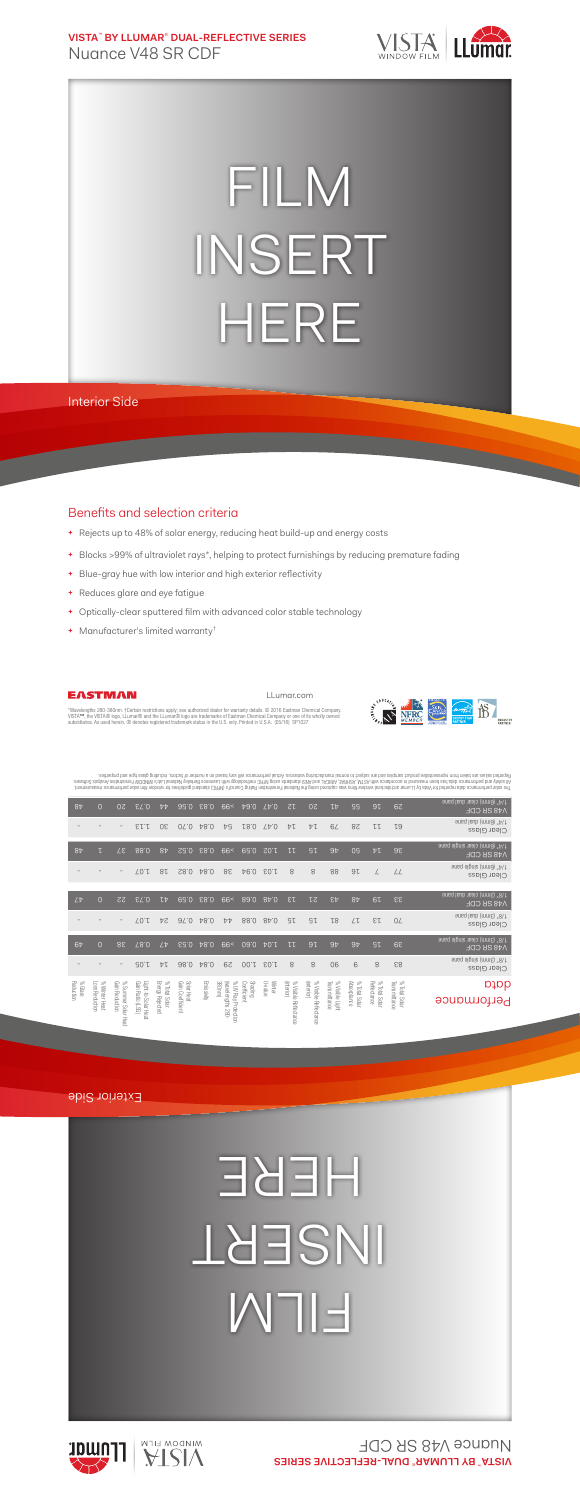**VISTA**™  **BY LLUMAR**®  **DUAL-REFLECTIVE SERIES** Nuance V48 SR CDF



## FILM INSERT HERE

Interior Side

## Benefits and selection criteria

- **+** Rejects up to 48% of solar energy, reducing heat build-up and energy costs
- **+** Blocks >99% of ultraviolet rays\*, helping to protect furnishings by reducing premature fading
- **+** Blue-gray hue with low interior and high exterior reflectivity
- **+** Reduces glare and eye fatigue
- **+** Optically-clear sputtered film with advanced color stable technology
- **+** Manufacturer's limited warranty†



LLumar.com



"Wavelengths 280-380nm. †Certain restrictions apply; see authorized dealer for warranty details. © 2016 Eastman Chemical Company.<br>VISTA™, the VISTA® logo, LLumar® and the LLumar® logo are trademarks of Eastman Chemical Com